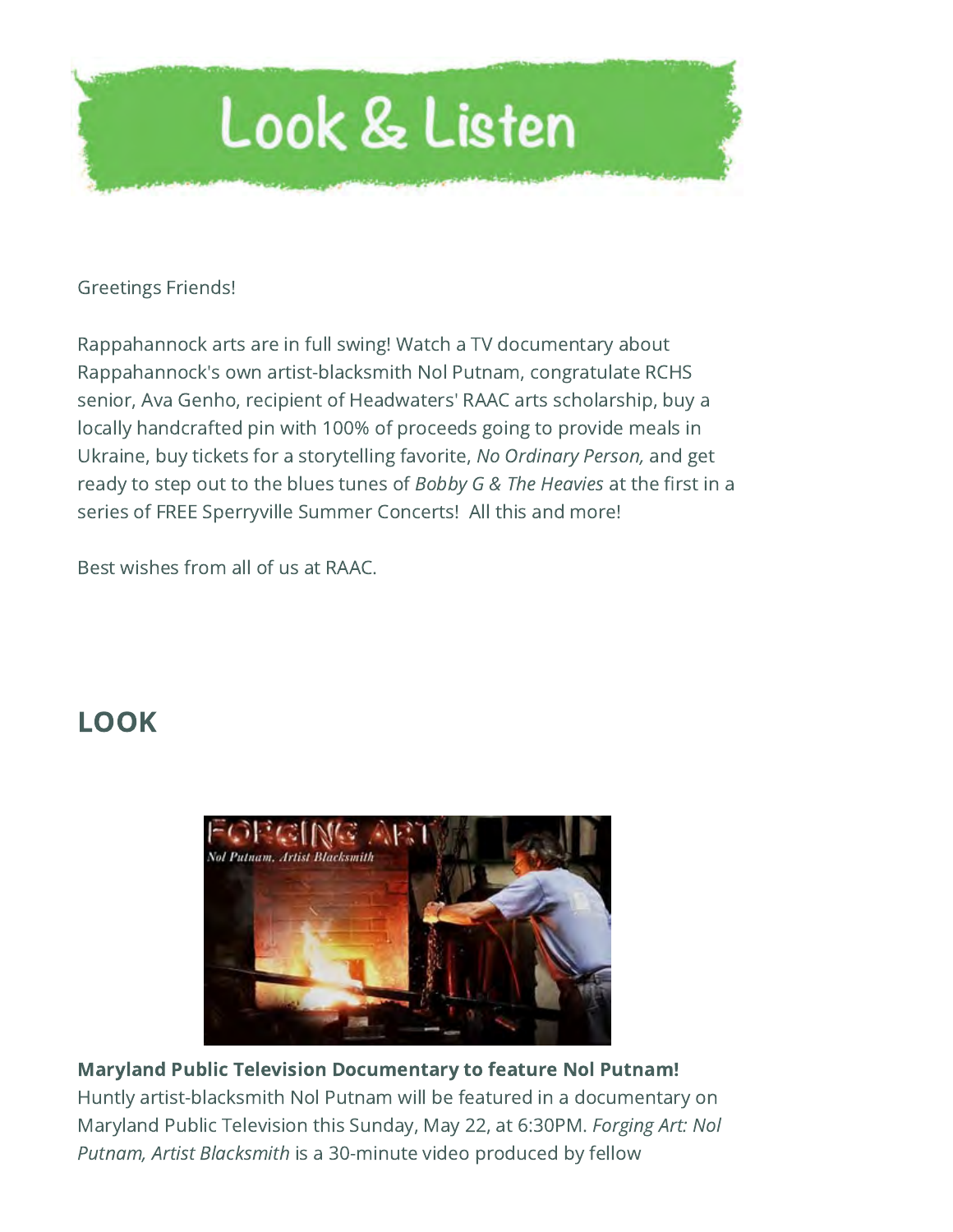

## Greetings Friends!

Rappahannock arts are in full swing! Watch a TV documentary about Rappahannock's own artist-blacksmith Nol Putnam, congratulate RCHS senior, Ava Genho, recipient of Headwaters' RAAC arts scholarship, buy a locally handcrafted pin with 100% of proceeds going to provide meals in Ukraine, buy tickets for a storytelling favorite, No Ordinary Person, and get ready to step out to the blues tunes of Bobby G & The Heavies at the first in a series of FREE Sperryville Summer Concerts! All this and more!

Best wishes from all of us at RAAC.

## LOOK



## Maryland Public Television Documentary to feature Nol Putnam! Huntly artist-blacksmith Nol Putnam will be featured in a documentary on Maryland Public Television this Sunday, May 22, at 6:30PM. Forging Art: Nol Putnam, Artist Blacksmith is a 30-minute video produced by fellow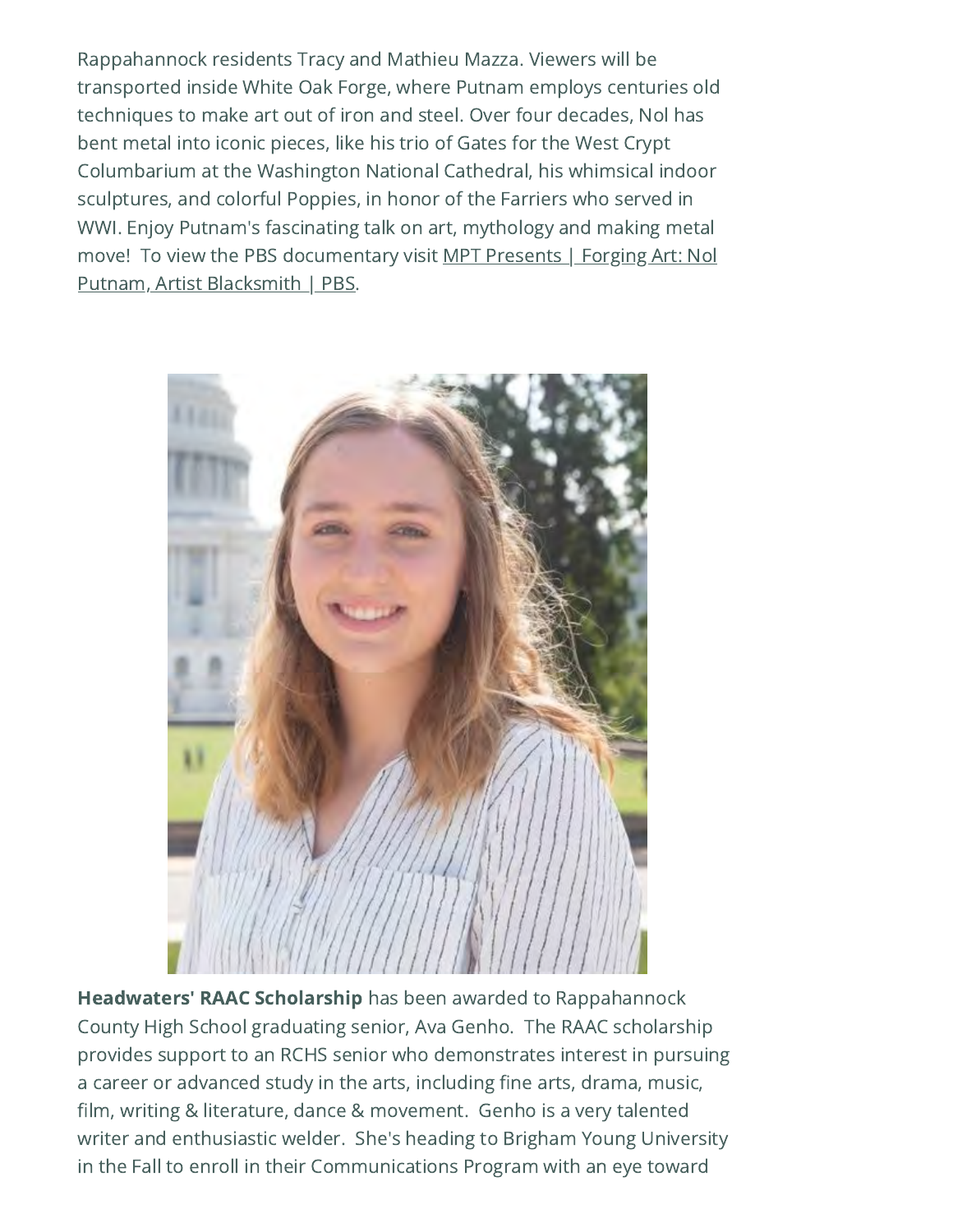Rappahannock residents Tracy and Mathieu Mazza. Viewers will be transported inside White Oak Forge, where Putnam employs centuries old techniques to make art out of iron and steel. Over four decades, Nol has bent metal into iconic pieces, like his trio of Gates for the West Crypt Columbarium at the Washington National Cathedral, his whimsical indoor sculptures, and colorful Poppies, in honor of the Farriers who served in WWI. Enjoy Putnam's fascinating talk on art, mythology and making metal [move! To view the PBS documentary visit MPT Presents | Forging Art: Nol](https://www.pbs.org/video/forging-art-nol-putnam-artist-blacksmith-uc8ilt/) Putnam, Artist Blacksmith | PBS.



Headwaters' RAAC Scholarship has been awarded to Rappahannock County High School graduating senior, Ava Genho. The RAAC scholarship provides support to an RCHS senior who demonstrates interest in pursuing a career or advanced study in the arts, including fine arts, drama, music, film, writing & literature, dance & movement. Genho is a very talented writer and enthusiastic welder. She's heading to Brigham Young University in the Fall to enroll in their Communications Program with an eye toward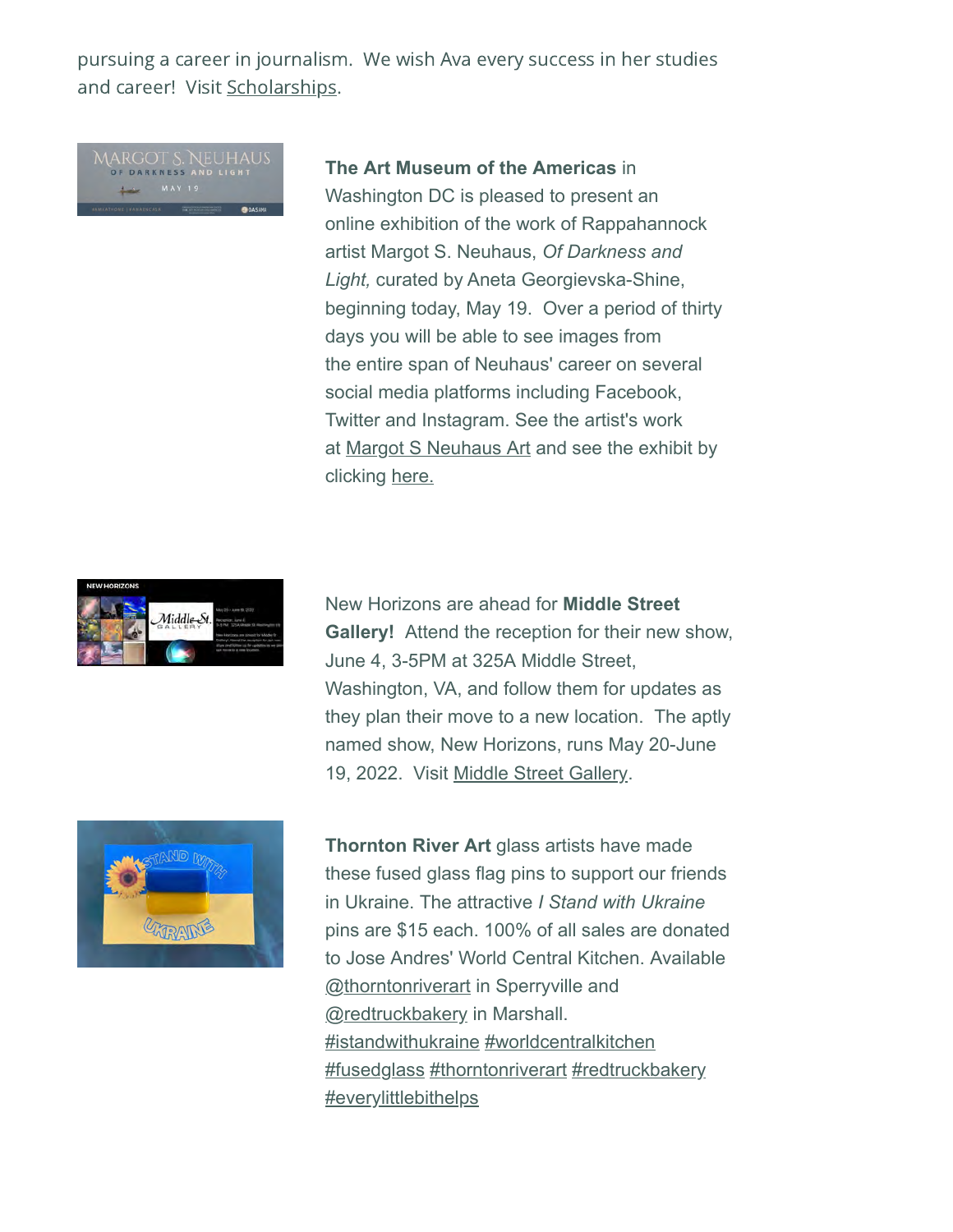pursuing a career in journalism. We wish Ava every success in her studies and career! Visit [Scholarships](https://www.headwatersfdn.org/scholarships/).

**The Art Museum of the Americas** in Washington DC is pleased to present an online exhibition of the work of Rappahannock artist Margot S. Neuhaus, *Of Darkness and Light,* curated by Aneta Georgievska-Shine, beginning today, May 19. Over a period of thirty days you will be able to see images from the entire span of Neuhaus' career on several social media platforms including Facebook, Twitter and Instagram. See the artist's work at [Margot S Neuhaus Art](https://www.margotneuhaus.com/) and see the exhibit by clicking [here.](http://www.museum.oas.org/exhibitions/2020s/2022-neuhaus.html)



New Horizons are ahead for **Middle Street Gallery!** Attend the reception for their new show, June 4, 3-5PM at 325A Middle Street, Washington, VA, and follow them for updates as they plan their move to a new location. The aptly named show, New Horizons, runs May 20-June 19, 2022. Visit [Middle Street Gallery](https://www.middlestreetgallery.org/).



**Thornton River Art** glass artists have made these fused glass flag pins to support our friends in Ukraine. The attractive *I Stand with Ukraine* pins are \$15 each. 100% of all sales are donated to Jose Andres' World Central Kitchen. Available [@thorntonriverart](https://www.instagram.com/_u/thorntonriverart) in Sperryville and **[@redtruckbakery](https://l.facebook.com/l.php?u=https%3A%2F%2Fwww.instagram.com%2F_u%2Fredtruckbakery&h=AT1C-XTYPCDI1LND-dSGe-v2cw4W1_ecm0XfKA3OewQNjZOD1cwqAXrAD4zo2SrUgLPtrNH_Df206Qv80Wi2zN2MpEUVMk9dU6HuISEDb79cmezfy-EEMlOFlbUGP3Sdh3a7B34n5ccZ88isfTmIWuogsx_Fw-e2X-lR&__tn__=-UK-R&c[0]=AT3Rb2YxzdI3rXVboijobRZAMTFov1vlCo45vho_jHQihbzR45V-plzLKk1d5oPJXk89YvCvtmbIPlZdb53aWapsobsDAbOoucaMQFKye4OETec-GRPRK4ien2N_z8hfoRtoNNBFMHGEs3VdswMJN6CVnWe4a-BBw9kUBNINxRqUm1y8Hq353u7RSvdKt9sZfGWzug) in Marshall.** [#istandwithukraine](https://www.facebook.com/hashtag/istandwithukraine?__eep__=6&__cft__[0]=AZXc0GnFRrC1zcCfqYz8jmlaU9iXjZGWVzDA8xx1UmmX2pekH9NHvWdz9v3QcGSYq6ePJzLSGSBMg6QxZfgSvekyjkIc_DFj8Jz_uGZnsSVuSqaCnsKr5UEiftsx41NAVqZuYMWJ9rUvgZzA_PFnSP5-gZewh029cMcid26SqYQ1sw&__tn__=*NK-R) [#worldcentralkitchen](https://www.facebook.com/hashtag/worldcentralkitchen?__eep__=6&__cft__[0]=AZXc0GnFRrC1zcCfqYz8jmlaU9iXjZGWVzDA8xx1UmmX2pekH9NHvWdz9v3QcGSYq6ePJzLSGSBMg6QxZfgSvekyjkIc_DFj8Jz_uGZnsSVuSqaCnsKr5UEiftsx41NAVqZuYMWJ9rUvgZzA_PFnSP5-gZewh029cMcid26SqYQ1sw&__tn__=*NK-R) [#fusedglass](https://www.facebook.com/hashtag/fusedglass?__eep__=6&__cft__[0]=AZXc0GnFRrC1zcCfqYz8jmlaU9iXjZGWVzDA8xx1UmmX2pekH9NHvWdz9v3QcGSYq6ePJzLSGSBMg6QxZfgSvekyjkIc_DFj8Jz_uGZnsSVuSqaCnsKr5UEiftsx41NAVqZuYMWJ9rUvgZzA_PFnSP5-gZewh029cMcid26SqYQ1sw&__tn__=*NK-R) [#thorntonriverart](https://www.facebook.com/hashtag/thorntonriverart?__eep__=6&__cft__[0]=AZXc0GnFRrC1zcCfqYz8jmlaU9iXjZGWVzDA8xx1UmmX2pekH9NHvWdz9v3QcGSYq6ePJzLSGSBMg6QxZfgSvekyjkIc_DFj8Jz_uGZnsSVuSqaCnsKr5UEiftsx41NAVqZuYMWJ9rUvgZzA_PFnSP5-gZewh029cMcid26SqYQ1sw&__tn__=*NK-R) [#redtruckbakery](https://www.facebook.com/hashtag/redtruckbakery?__eep__=6&__cft__[0]=AZXc0GnFRrC1zcCfqYz8jmlaU9iXjZGWVzDA8xx1UmmX2pekH9NHvWdz9v3QcGSYq6ePJzLSGSBMg6QxZfgSvekyjkIc_DFj8Jz_uGZnsSVuSqaCnsKr5UEiftsx41NAVqZuYMWJ9rUvgZzA_PFnSP5-gZewh029cMcid26SqYQ1sw&__tn__=*NK-R) [#everylittlebithelps](https://www.facebook.com/hashtag/everylittlebithelps?__eep__=6&__cft__[0]=AZXc0GnFRrC1zcCfqYz8jmlaU9iXjZGWVzDA8xx1UmmX2pekH9NHvWdz9v3QcGSYq6ePJzLSGSBMg6QxZfgSvekyjkIc_DFj8Jz_uGZnsSVuSqaCnsKr5UEiftsx41NAVqZuYMWJ9rUvgZzA_PFnSP5-gZewh029cMcid26SqYQ1sw&__tn__=*NK-R)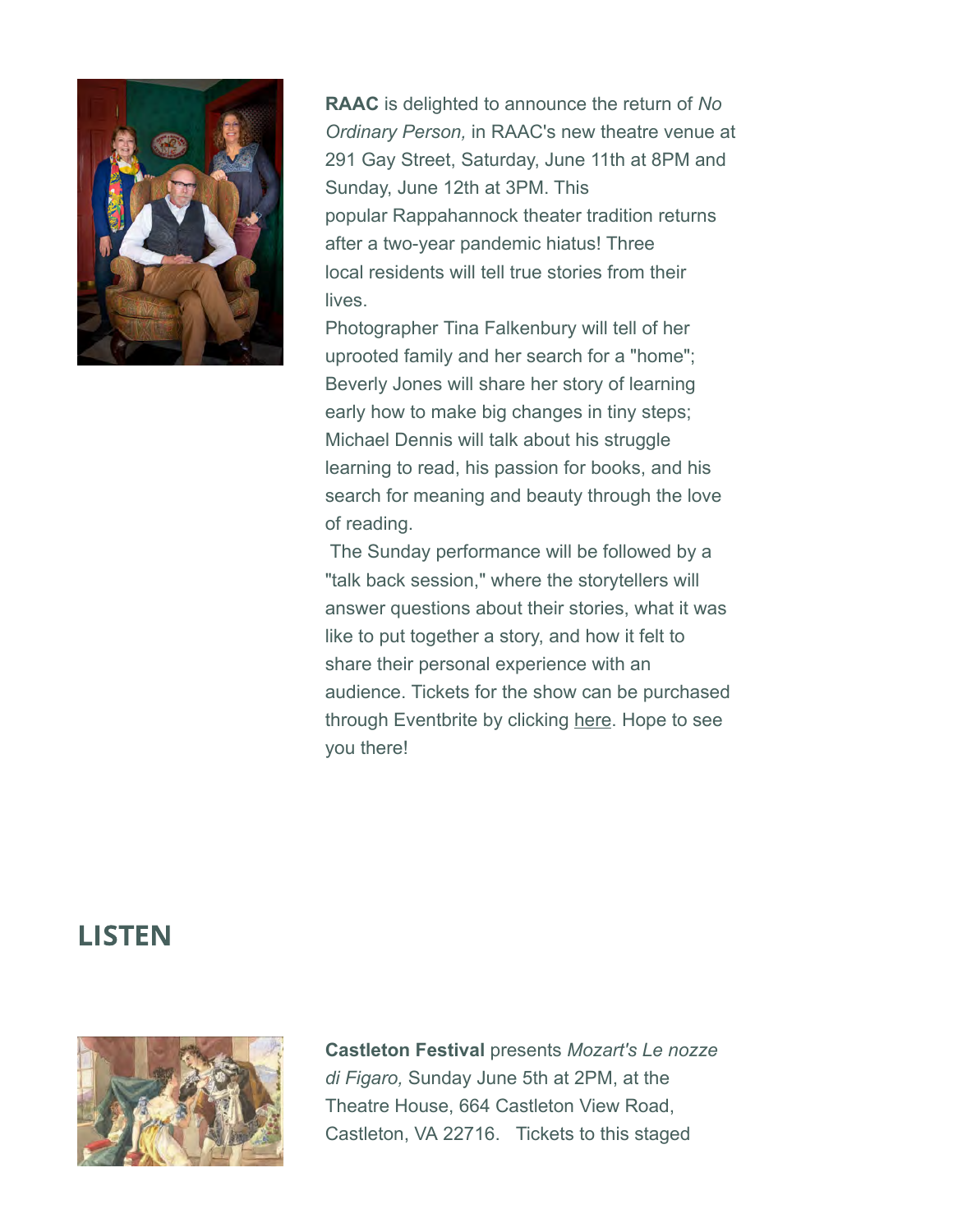

**RAAC** is delighted to announce the return of *No Ordinary Person,* in RAAC's new theatre venue at 291 Gay Street, Saturday, June 11th at 8PM and Sunday, June 12th at 3PM. This popular Rappahannock theater tradition returns after a two-year pandemic hiatus! Three local residents will tell true stories from their lives.

Photographer Tina Falkenbury will tell of her uprooted family and her search for a "home"; Beverly Jones will share her story of learning early how to make big changes in tiny steps; Michael Dennis will talk about his struggle learning to read, his passion for books, and his search for meaning and beauty through the love of reading.

The Sunday performance will be followed by a "talk back session," where the storytellers will answer questions about their stories, what it was like to put together a story, and how it felt to share their personal experience with an audience. Tickets for the show can be purchased through Eventbrite by clicking [here](https://www.eventbrite.com/e/no-ordinary-person-tickets-302248211537). Hope to see you there!

## LISTEN



**Castleton Festival** presents *Mozart's Le nozze di Figaro,* Sunday June 5th at 2PM, at the Theatre House, 664 Castleton View Road, Castleton, VA 22716. Tickets to this staged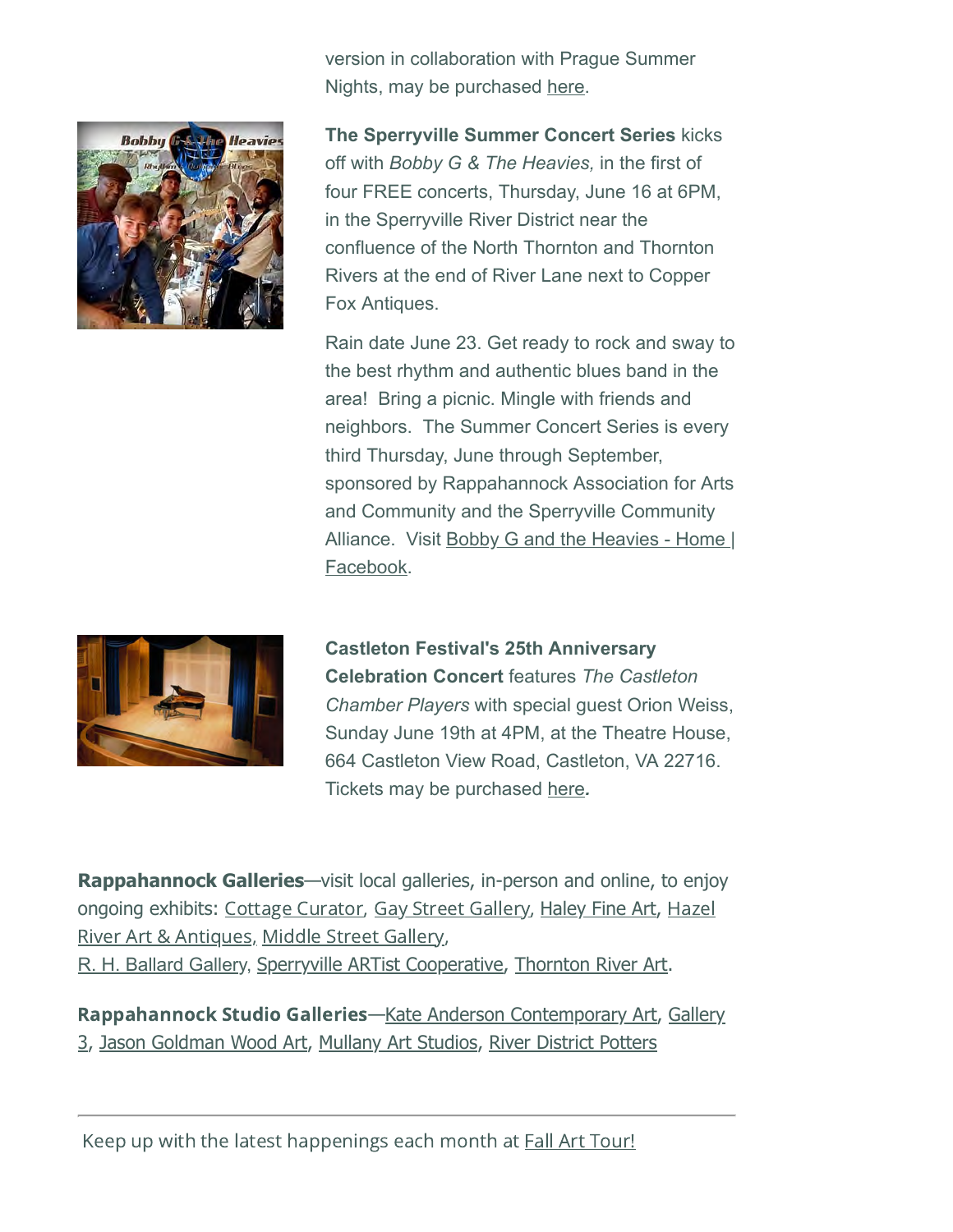

version in collaboration with Prague Summer Nights, may be purchased [here.](https://www.simpletix.com/e/mozarts-le-nozze-di-figaro-tickets-97720#smtx-click)

**The Sperryville Summer Concert Series** kicks off with *Bobby G & The Heavies,* in the first of four FREE concerts, Thursday, June 16 at 6PM, in the Sperryville River District near the confluence of the North Thornton and Thornton Rivers at the end of River Lane next to Copper Fox Antiques.

Rain date June 23. Get ready to rock and sway to the best rhythm and authentic blues band in the area! Bring a picnic. Mingle with friends and neighbors. The Summer Concert Series is every third Thursday, June through September, sponsored by Rappahannock Association for Arts and Community and the Sperryville Community Alliance. Visit [Bobby G and the Heavies - Home |](https://www.facebook.com/BobbyGAndFriends) Facebook.



**Castleton Festival's 25th Anniversary Celebration Concert** features *The Castleton Chamber Players* with special guest Orion Weiss, Sunday June 19th at 4PM, at the Theatre House, 664 Castleton View Road, Castleton, VA 22716. Tickets may be purchased [here](https://www.simpletix.com/e/25th-anniversary-celebration-concert-ticke-tickets-97721)*.*

**Rappahannock Galleries**—visit local galleries, in-person and online, to enjoy ongoing exhibits: [Cottage Curator,](https://cottagecurator.com/) [Gay Street Gallery,](https://www.gaystreetgallery.com/) [Haley Fine Art,](http://haleyfineart.com/) Hazel River Art & Antiques, [Middle Street Gallery,](http://www.hazelriverartandantiques.com/) [R. H. Ballard Gallery](https://www.rhballardgallery.com/), [Sperryville ARTist Cooperative,](https://sperryville.com/directory/sperryville-artist-cooperative/) [Thornton River Art](https://www.thorntonriverart.com/).

Rappahannock Studio Galleries[—](https://gallery3va.com/)[Kate Anderson Contemporary Art](https://www.instagram.com/firepainter13/)[,](https://gallery3va.com/) Gallery 3, [Jason Goldman Wood Art,](https://www.instagram.com/jasongoldmanwoodart) [Mullany Art Studios,](http://mullanyartstudios.wordpress.com/) [River District Potters](https://www.facebook.com/riverdistrictpotters)

Keep up with the latest happenings each month at **Fall Art Tour!**